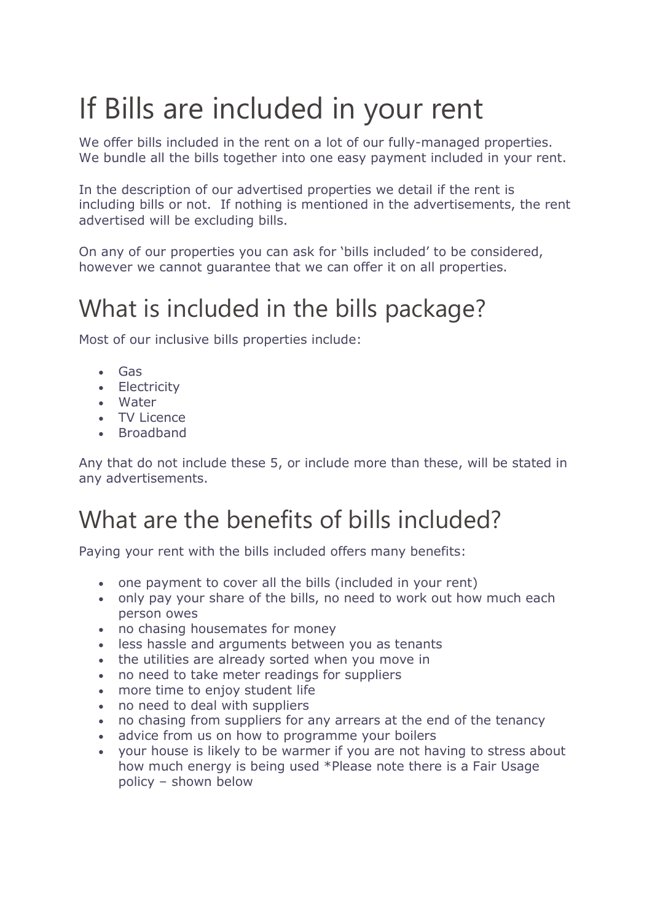## If Bills are included in your rent

We offer bills included in the rent on a lot of our fully-managed properties. We bundle all the bills together into one easy payment included in your rent.

In the description of our advertised properties we detail if the rent is including bills or not. If nothing is mentioned in the advertisements, the rent advertised will be excluding bills.

On any of our properties you can ask for 'bills included' to be considered, however we cannot guarantee that we can offer it on all properties.

## What is included in the bills package?

Most of our inclusive bills properties include:

- Gas
- Electricity
- Water
- TV Licence
- Broadband

Any that do not include these 5, or include more than these, will be stated in any advertisements.

## What are the benefits of bills included?

Paying your rent with the bills included offers many benefits:

- one payment to cover all the bills (included in your rent)
- only pay your share of the bills, no need to work out how much each person owes
- no chasing housemates for money
- less hassle and arguments between you as tenants
- the utilities are already sorted when you move in
- no need to take meter readings for suppliers
- more time to enjoy student life
- no need to deal with suppliers
- no chasing from suppliers for any arrears at the end of the tenancy
- advice from us on how to programme your boilers
- your house is likely to be warmer if you are not having to stress about how much energy is being used \*Please note there is a Fair Usage policy – shown below